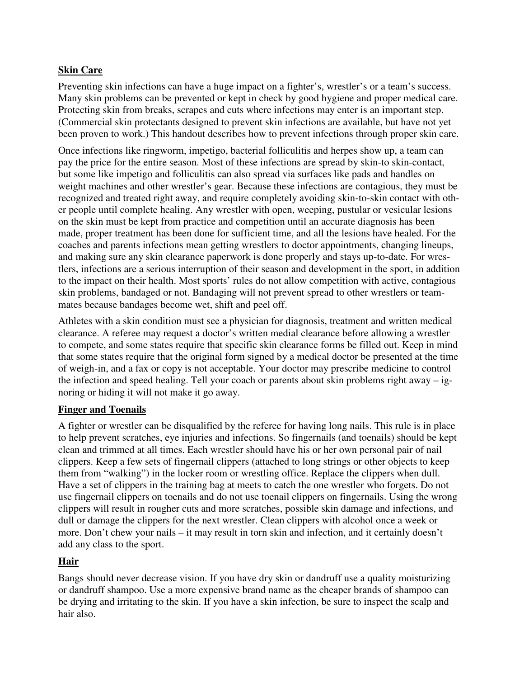# **Skin Care**

Preventing skin infections can have a huge impact on a fighter's, wrestler's or a team's success. Many skin problems can be prevented or kept in check by good hygiene and proper medical care. Protecting skin from breaks, scrapes and cuts where infections may enter is an important step. (Commercial skin protectants designed to prevent skin infections are available, but have not yet been proven to work.) This handout describes how to prevent infections through proper skin care.

Once infections like ringworm, impetigo, bacterial folliculitis and herpes show up, a team can pay the price for the entire season. Most of these infections are spread by skin-to skin-contact, but some like impetigo and folliculitis can also spread via surfaces like pads and handles on weight machines and other wrestler's gear. Because these infections are contagious, they must be recognized and treated right away, and require completely avoiding skin-to-skin contact with other people until complete healing. Any wrestler with open, weeping, pustular or vesicular lesions on the skin must be kept from practice and competition until an accurate diagnosis has been made, proper treatment has been done for sufficient time, and all the lesions have healed. For the coaches and parents infections mean getting wrestlers to doctor appointments, changing lineups, and making sure any skin clearance paperwork is done properly and stays up-to-date. For wrestlers, infections are a serious interruption of their season and development in the sport, in addition to the impact on their health. Most sports' rules do not allow competition with active, contagious skin problems, bandaged or not. Bandaging will not prevent spread to other wrestlers or teammates because bandages become wet, shift and peel off.

Athletes with a skin condition must see a physician for diagnosis, treatment and written medical clearance. A referee may request a doctor's written medial clearance before allowing a wrestler to compete, and some states require that specific skin clearance forms be filled out. Keep in mind that some states require that the original form signed by a medical doctor be presented at the time of weigh-in, and a fax or copy is not acceptable. Your doctor may prescribe medicine to control the infection and speed healing. Tell your coach or parents about skin problems right away – ignoring or hiding it will not make it go away.

### **Finger and Toenails**

A fighter or wrestler can be disqualified by the referee for having long nails. This rule is in place to help prevent scratches, eye injuries and infections. So fingernails (and toenails) should be kept clean and trimmed at all times. Each wrestler should have his or her own personal pair of nail clippers. Keep a few sets of fingernail clippers (attached to long strings or other objects to keep them from "walking") in the locker room or wrestling office. Replace the clippers when dull. Have a set of clippers in the training bag at meets to catch the one wrestler who forgets. Do not use fingernail clippers on toenails and do not use toenail clippers on fingernails. Using the wrong clippers will result in rougher cuts and more scratches, possible skin damage and infections, and dull or damage the clippers for the next wrestler. Clean clippers with alcohol once a week or more. Don't chew your nails – it may result in torn skin and infection, and it certainly doesn't add any class to the sport.

### **Hair**

Bangs should never decrease vision. If you have dry skin or dandruff use a quality moisturizing or dandruff shampoo. Use a more expensive brand name as the cheaper brands of shampoo can be drying and irritating to the skin. If you have a skin infection, be sure to inspect the scalp and hair also.